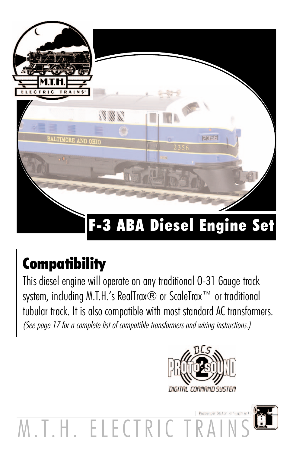

## **Compatibility**

This diesel engine will operate on any traditional O-31 Gauge track system, including M.T.H.'s RealTrax® or ScaleTrax™ or traditional tubular track. It is also compatible with most standard AC transformers. (See page 17 for a complete list of compatible transformers and wiring instructions.)



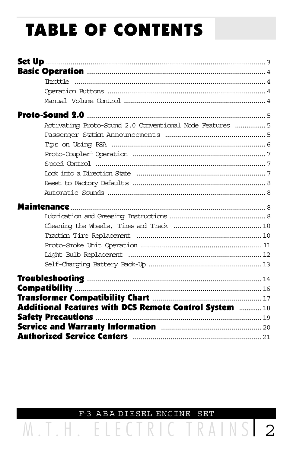# **TABLE OF CONTENTS**

| Activating Proto-Sound 2.0 Conventional Mode Features  5                  |  |
|---------------------------------------------------------------------------|--|
|                                                                           |  |
|                                                                           |  |
|                                                                           |  |
|                                                                           |  |
|                                                                           |  |
|                                                                           |  |
|                                                                           |  |
|                                                                           |  |
|                                                                           |  |
|                                                                           |  |
|                                                                           |  |
|                                                                           |  |
|                                                                           |  |
|                                                                           |  |
|                                                                           |  |
|                                                                           |  |
|                                                                           |  |
| <b>Additional Features with DCS Remote Control System manufold Proper</b> |  |
|                                                                           |  |
|                                                                           |  |
|                                                                           |  |

F-3 ABA DIESEL ENGINE  $SET$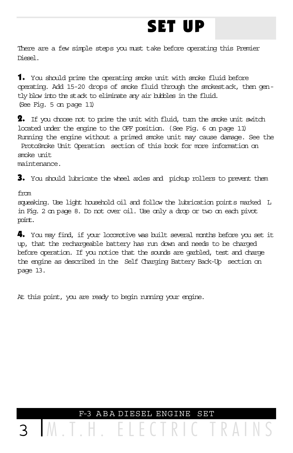## SET UP

There are a few simple steps you must take before operating this Premier Diesel.

1. You should prime the operating smoke unit with smoke fluid before operating. Add 15-20 drops of smoke fluid through the smokestack, then gently blow into the stack to eliminate any air bubbles in the fluid. (See Fig. 5 on page 11)

 $\overline{\mathbf{2}}$ . If you choose not to prime the unit with fluid, turn the smoke unit switch located under the engine to the OFF position. (See Fig. 6 on page 11) Running the engine without a primed smoke unit may cause damage. See the ProtoSmoke Unit Operation section of this book for more information on smoke unit

maintenance.

3. You should lubricate the wheel axles and pickup rollers to prevent them

from

squeaking. Use light household oil and follow the lubrication points marked L in Fig. 2 on page 8. Do not over oil. Use only a drop or two on each pivot point.

4. You may find, if your locomotive was built several months before you set it up, that the rechargeable battery has run down and needs to be charged before operation. If you notice that the sounds are garbled, test and charge the engine as described in the Self Charging Battery Back-Up section on page 13.

At this point, you are ready to begin running your engine.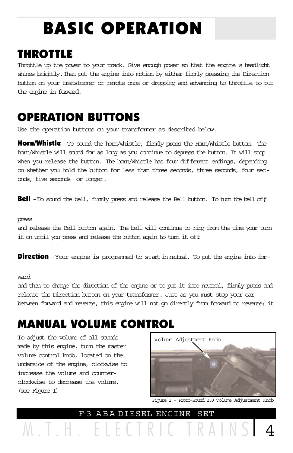# BASIC OPERATION

### THROTTLE

Throttle up the power to your track. Give enough power so that the engine s headlight shines brightly. Then put the engine into motion by either firmly pressing the Direction button on your transformer or remote once or dropping and advancing to throttle to put the engine in forward.

## OPERATION BUTTONS

Use the operation buttons on your transformer as described below.

**Horn/Whistle** - To sound the hom/whistle, fimily press the Hom/Whistle button. The horn/whistle will sound for as long as you continue to depress the button. It will stop when you release the button. The horn/whistle has four different endings, depending on whether you hold the button for less than three seconds, three seconds, four seconds, five seconds or longer.

**Bell** - To sound the bell, firmly press and release the Bell button. To turn the bell of f

#### press

and release the Bell button again. The bell will continue to ring from the time your turn it on until you press and release the button again to turn it of f.

**Direction** - Your engine is programmed to start in natual. To put the engine into for-

#### ward

and then to change the direction of the engine or to put it into neutral, firmly press and release the Direction button on your transformer. Just as you must stop your car between forward and reverse, this engine will not go directly from forward to reverse; it

## MANUAL VOLUME CONTROL

To adjust the volume of all sounds made by this engine, turn the master volume control knob, located on the underside of the engine, clockwise to increase the volume and counterclockwise to decrease the volume. (see Figure 1)



Figure 1 - Proto-Sound 2.0 Volume Adjustment Knob

M.T.H. ELECTRIC TRAINS 4 F-3 A B A DIESEL ENGINE SET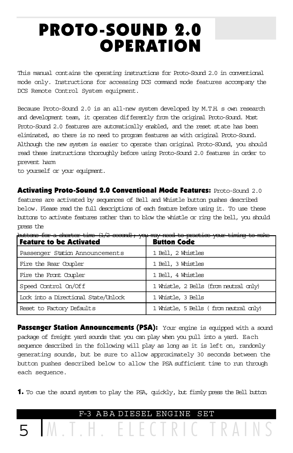## PROTO-SOUND 2.0 **OPERATION**

This manual contains the operating instructions for Proto-Sound 2.0 in conventional mode only. Instructions for accessing DCS command mode features accompany the DCS Remote Control System equipment.

Because Proto-Sound 2.0 is an all-new system developed by M.T.H. s own research and development team, it operates differently from the original Proto-Sound. Most Proto-Sound 2.0 features are automatically enabled, and the reset state has been eliminated, so there is no need to program features as with original Proto-Sound. Although the new system is easier to operate than original Proto-SOund, you should read these instructions thoroughly before using Proto-Sound 2.0 features in order to prevent harm

to yourself or your equipment.

Activating Proto-Sound 2.0 Conventional Mode Features: Proto-Sound 2.0 features are activated by sequences of Bell and Whistle button pushes described below. Please read the full descriptions of each feature before using it. To use these buttons to activate features rather than to blow the whistle or ring the bell, you should press the

| buttons for a chorter time (1/2 second); you may need to practice your timing to make<br><b>Feature to be Activated</b> | <b>Button Code</b>                     |
|-------------------------------------------------------------------------------------------------------------------------|----------------------------------------|
| Passenger Station Announcements                                                                                         | 1 Bell, 2 Whistles                     |
| Fire the Rear Coupler                                                                                                   | 1 Bell, 3 Whistles                     |
| Fire the Frant Coupler                                                                                                  | 1 Bell, 4 Whistles                     |
| Speed Control On/Off                                                                                                    | 1 Whistle, 2 Bells (from neutral only) |
| Lock into a Directional State/Unlock                                                                                    | 1 Whistle, 3 Bells                     |
| Reset to Factory Defaults                                                                                               | 1 Whistle, 5 Bells (from neutral only) |

**Passenger Station Announcements (PSA):** Your engine is equipped with a sound package of freight yard sounds that you can play when you pull into a yard. Each sequence described in the following will play as long as it is left on, randomly generating sounds, but be sure to allow approximately 30 seconds between the button pushes described below to allow the PSA sufficient time to run through each sequence.

**1.** To cue the sound system to play the PSA, quickly, but firmly press the Bell button

5 M.T.H. ELECTRIC TRAINS F-3 A B A DIESEL ENGINE SET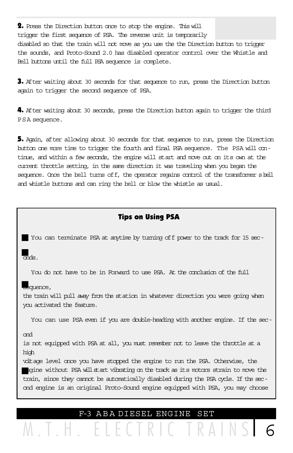2. Press the Direction button once to stop the engine. This will trigger the first sequence of PSA. The reverse unit is temporarily disabled so that the train will not move as you use the the Direction button to trigger the sounds, and Proto-Sound 2.0 has disabled operator control over the Whistle and Bell buttons until the full PSA sequence is complete.

3. After waiting about 30 seconds for that sequence to run, press the Direction button again to trigger the second sequence of PSA.

4. After waiting about 30 seconds, press the Direction button again to trigger the third PSA sequence.

5. Again, after allowing about 30 seconds for that sequence to run, press the Direction button one more time to trigger the fourth and final PSA sequence. The PSA will continue, and within a few seconds, the engine will start and move out on its own at the current throttle setting, in the same direction it was traveling when you began the sequence. Once the bell turns off, the operator regains control of the transformer s bell and whistle buttons and can ring the bell or blow the whistle as usual.

#### Tips on Using PSA

You can terminate PSA at anytime by turning off power to the track for 15 sec-

onds.

You do not have to be in Forward to use PSA. At the conclusion of the full

#### sequence,

the train will pull away from the station in whatever direction you were going when you activated the feature.

You can use PSA even if you are double-heading with another engine. If the sec-

#### ond

is not equipped with PSA at all, you must remember not to leave the throttle at a high

voltage level once you have stopped the engine to run the PSA. Otherwise, the eqine without PSA willstart vibrating on the track as its motors strain to move the train, since they cannot be automatically disabled during the PSA cycle. If the second engine is an original Proto-Sound engine equipped with PSA, you may choose

F-3 A B A DIESEL ENGINE SET

M.T.H. ELECTR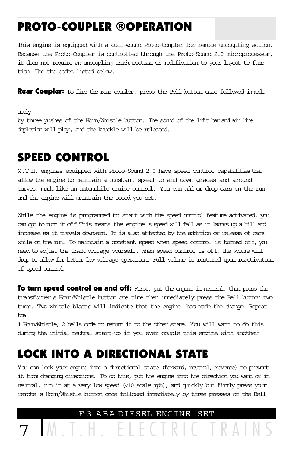## PROTO-COUPLER ®OPERATION

This engine is equipped with a coil-wound Proto-Coupler for remote uncoupling action. Because the Proto-Coupler is controlled through the Proto-Sound 2.0 microprocessor, it does not require an uncoupling track section or modification to your layout to function. Use the codes listed below.

**Rear Coupler:** To fire the rear coupler, press the Bell button once followed immedi-

ately

by three pushes of the Horn/Whistle button. The sound of the lift bar and air line depletion will play, and the knuckle will be released.

## SPEED CONTROL

M.T.H. engines equipped with Proto-Sound 2.0 have speed control capabilities that allow the engine to maintain a constant speed up and down grades and around curves, much like an automobile cruise control. You can add or drop cars on the run, and the engine will maintain the speed you set.

While the engine is programmed to start with the speed control feature activated, you can opt to turn it off. This means the engine s speed will fall as it labors up a hill and increase as it travels downward. It is also affected by the addition or release of cars while on the run. To maintain a constant speed when speed control is turned off, you need to adjust the track voltage yourself. When speed control is off, the volume will drop to allow for better low voltage operation. Full volume is restored upon reactivation of speed control.

**To turn speed control on and off:** First, put the engine in neutral, then press the transformer s Horn/Whistle button one time then immediately press the Bell button two times. Two whistle blasts will indicate that the engine has made the change. Repeat the

1 Horn/Whistle, 2 bells code to return it to the other state. You will want to do this during the initial neutral start-up if you ever couple this engine with another

### LOCK INTO A DIRECTIONAL STATE

You can lock your engine into a directional state (forward, neutral, reverse) to prevent it from changing directions. To do this, put the engine into the direction you want or in neutral, run it at a very low speed (<10 scale mph), and quickly but firmly press your remote s Horn/Whistle button once followed immediately by three presses of the Bell

F-3 A B A DIESEL ENGINE SET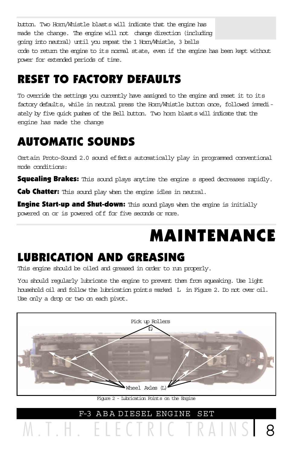button. Two Horn/Whistle blasts will indicate that the engine has made the change. The engine will not change direction (including going into neutral) until you repeat the 1 Horn/Whistle, 3 bells code to return the engine to its normal state, even if the engine has been kept without power for extended periods of time.

## RESET TO FACTORY DEFAULTS

To override the settings you currently have assigned to the engine and reset it to its factory defaults, while in neutral press the Horn/Whistle button once, followed immediately by five quick pushes of the Bell button. Two horn blasts will indicate that the engine has made the change

## AUTOMATIC SOUNDS

Certain Proto-Sound 2.0 sound effects automatically play in programmed conventional mode conditions:

Squealing Brakes: This sound plays anytime the engine s speed decreases rapidly.

Cab Chatter: This sound play when the engine idles in neutral.

**Engine Start-up and Shut-down:** This sound plays when the engine is initially powered on or is powered off for five seconds or more.

## MAINTENANCE

## LUBRICATION AND GREASING

This engine should be oiled and greased in order to run properly.

You should regularly lubricate the engine to prevent them from squeaking. Use light household oil and follow the lubrication points marked L in Figure 2. Do not over oil. Use only a drop or two on each pivot.



F-3 A B A DIESEL ENGINE SET Figure 2 - Lubrication Points on the Engine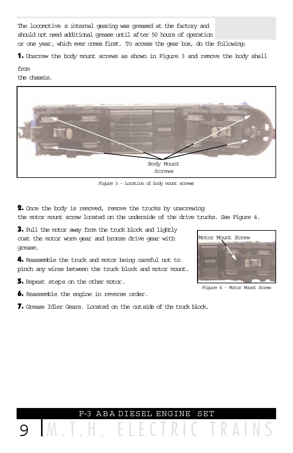The locomotive s internal gearing was greased at the factory and should not need additional grease until after 50 hours of operation or one year, which ever comes first. To access the gear box, do the following:

1. Unscrew the body mount screws as shown in Figure 3 and remove the body shell

from

the chassis.



Figure 3 - Location of body mount screws

2. Once the body is removed, remove the trucks by unscrewing the motor mount screw located on the underside of the drive trucks. See Figure 4.

3. Pull the motor away from the truck block and lightly coat the motor worm gear and bronze drive gear with grease.

4. Reassemble the truck and motor being careful not to pinch any wires between the truck block and motor mount.

5. Repeat steps on the other motor.

6. Reassemble the engine in reverse order.

7. Grease Idler Gears. Located on the outside of the truck block.



Figure 4 - Motor Mount Screw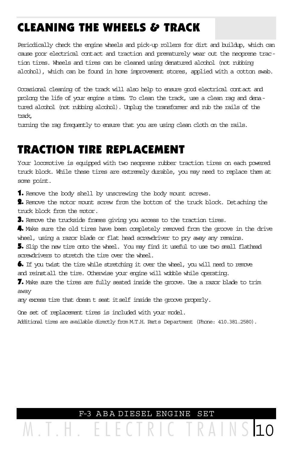## CLEANING THE WHEELS & TRACK

Periodically check the engine wheels and pick-up rollers for dirt and buildup, which can cause poor electrical contact and traction and prematurely wear out the neoprene traction tires. Wheels and tires can be cleaned using denatured alcohol (not rubbing alcohol), which can be found in home improvement stores, applied with a cotton swab.

Occasional cleaning of the track will also help to ensure good electrical contact and prolong the life of your engine s tires. To clean the track, use a clean rag and denatured alcohol (not rubbing alcohol). Unplug the transformer and rub the rails of the track,

turning the rag frequently to ensure that you are using clean cloth on the rails.

### TRACTION TIRE REPLACEMENT

Your locomotive is equipped with two neoprene rubber traction tires on each powered truck block. While these tires are extremely durable, you may need to replace them at some point.

1. Remove the body shell by unscrewing the body mount screws.

2. Remove the motor mount screw from the bottom of the truck block. Detaching the truck block from the motor.

3. Remove the truckside frames giving you access to the traction tires.

4. Make sure the old tires have been completely removed from the groove in the drive wheel, using a razor blade or flat head screwdriver to pry away any remains.

5. Slip the new tire onto the wheel. You may find it useful to use two small flathead screwdrivers to stretch the tire over the wheel.

6. If you twist the tire while stretching it over the wheel, you will need to remove and reinstall the tire. Otherwise your engine will wobble while operating.

7. Make sure the tires are fully seated inside the groove. Use a razor blade to trim away

any excess tire that doesn t seat itself inside the groove properly.

One set of replacement tires is included with your model.

Additional tires are available directly from M.T.H. Parts Department (Phone: 410.381.2580).

### F-3 A B A DIESEL ENGINE SET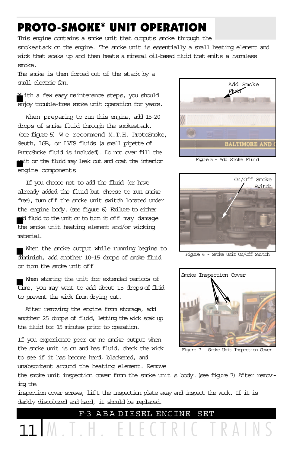### PROTO-SMOKE® UNIT OPERATION

This engine contains a smoke unit that outputs smoke through the smokestack on the engine. The smoke unit is essentially a small heating element and wick that soaks up and then heats a mineral oil-based fluid that emits a harmless smoke.

The smoke is then forced out of the stack by a small electric fan.

W ith a few easy maintenance steps, you should enjoy trouble-free smoke unit operation for years.

When preparing to run this engine, add 15-20 drops of smoke fluid through the smokestack. (see figure 5) W e recommend M.T.H. ProtoSmoke, Seuth, LGB, or LVTS fluids (a small pipette of ProtoSmoke fluid is included). Do not over fill the unit or the fluid may leak out and coat the interior engine components.

If you choose not to add the fluid (or have already added the fluid but choose to run smoke free), turn of f the smoke unit switch located under the engine body. (see figure 6) Failure to either add fluid to the unit or to turn it off may damage the smoke unit heating element and/or wicking material.

When the smoke output while running begins to diminish, add another 10-15 drops of smoke fluid or turn the smoke unit off.

When storing the unit for extended periods of time, you may want to add about 15 drops of fluid to prevent the wick from drying out.

After removing the engine from storage, add another 25 drops of fluid, letting the wick soak up the fluid for 15 minutes prior to operation.

If you experience poor or no smoke output when the smoke unit is on and has fluid, check the wick to see if it has become hard, blackened, and unabsorbant around the heating element. Remove



Figure 5 - Add Smoke Fluid



Figure 6 - Smoke Unit On/Off Switch



Figure 7 - Smoke Unit Inspection Cover

the smoke unit inspection cover from the smoke unit s body. (see figure 7) After removing the

inspection cover screws, lift the inspection plate away and inspect the wick. If it is darkly discolored and hard, it should be replaced.

F-3 A B A DIESEL ENGINE SET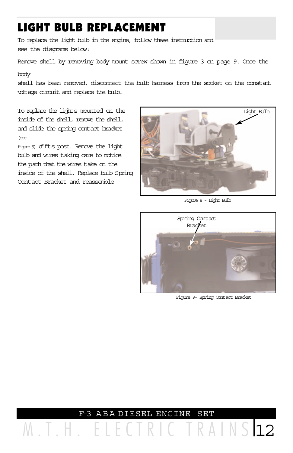## LIGHT BULB REPLACEMENT

To replace the light bulb in the engine, follow these instruction and see the diagrams below:

Remove shell by removing body mount screw shown in figure 3 on page 9. Once the

body

shell has been removed, disconnect the bulb harness from the socket on the constant voltage circuit and replace the bulb.

inside of the shell, remove the shell, and slide the spring contact bracket (see

figure 9) of fits post. Remove the light bulb and wires taking care to notice the path that the wires take on the inside of the shell. Replace bulb Spring Contact Bracket and reassemble



Figure 8 - Light Bulb



Figure 9- Spring Contact Bracket

M.T.H. ELECTRIC TRAINS 12 F-3 A B A DIESEL ENGINE SET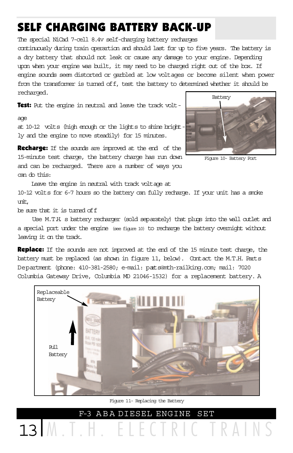## SELF CHARGING BATTERY BACK-UP

The special NiCad 7-cell 8.4v self-charging battery recharges

continuously during train operartion and should last for up to five years. The battery is a dry battery that should not leak or cause any damage to your engine. Depending upon when your engine was built, it may need to be charged right out of the box. If engine sounds seem distorted or garbled at low voltages or become silent when power from the transformer is turned off, test the battery to determined whether it should be recharged.

Test: Put the engine in neutral and leave the track volt-

#### age

at 10-12 volts (high enough or the lights to shine brightly and the engine to move steadily) for 15 minutes.

Recharge: If the sounds are improved at the end of the 15-minute test charge, the battery charge has run down and can be recharged. There are a number of ways you can do this:



Figure 10- Battery Port

RAINS

 Leave the engine in neutral with track voltage at 10-12 volts for 6-7 hours so the battery can fully recharge. If your unit has a smoke unit,

be sure that it is turned off.

 Use M.T.H. s battery recharger (sold separately) that plugs into the wall outlet and a special port under the engine (see figure 10) to recharge the battery overnight without leaving it on the track.

Replace: If the sounds are not improved at the end of the 15 minute test charge, the battery must be replaced (as shown in figure 11, below). Contact the M.T.H. Parts Department (phone: 410-381-2580; e-mail: parts@mth-railking.com; mail: 7020 Columbia Gateway Drive, Columbia MD 21046-1532) for a replacement battery. A



F-3 A B A DIESEL ENGINE SET Figure 11- Replacing the Battery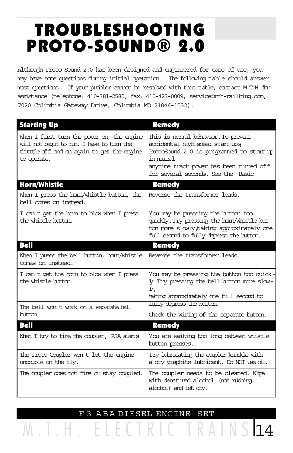## TROUBLESHOOTING PROTO-SOUND® 2.0

Although Proto-Sound 2.0 has been designed and engineered for ease of use, you may have some questions during initial operation. The following table should answer most questions. If your problem cannot be resolved with this table, contact M.T.H. for assistance (telephone: 410-381-2580; fax: 410-423-0009; service@mth-railking.com, 7020 Columbia Gateway Drive, Columbia MD 21046-1532).

| <b>Starting Up</b>                                                                                                                                     | <b>Remedy</b>                                                                                                                                                                                                     |
|--------------------------------------------------------------------------------------------------------------------------------------------------------|-------------------------------------------------------------------------------------------------------------------------------------------------------------------------------------------------------------------|
| When I first turn the power on, the engine<br>will not begin to run. I have to turn the<br>throttle of f and on again to get the engine<br>to operate. | This is normal behavior. To prevent<br>accidental high-speed start-ups<br>ProtoSound 2.0 is programmed to start up<br>in ratral<br>anytime track power has been turned of f<br>for several seconds. See the Basic |
| <b>Horn/Whistle</b>                                                                                                                                    | <b>Remedy</b>                                                                                                                                                                                                     |
| When I press the hom/whistle button, the<br>bell comes on instead.                                                                                     | Reverse the transformer leads.                                                                                                                                                                                    |
| I can t get the hom to blow when I press<br>the whistle button.                                                                                        | You may be pressing the button too<br>quickly. Try pressing the hom/whistle but-<br>ton more slowly, taking approximately one<br>full second to fully depress the button.                                         |
| <b>Bell</b>                                                                                                                                            | <b>Remedy</b>                                                                                                                                                                                                     |
| When I press the bell button, hom/whistle<br>comes on instead.                                                                                         | Reverse the transformer leads.                                                                                                                                                                                    |
| I can t get the hom to blow when I press<br>the whistle button.                                                                                        | You may be pressing the button too quick-<br>y. Try pressing the bell button more slow-<br>ł,<br>taking approximately one full second to                                                                          |
| The bell won t work on a separate bell                                                                                                                 | tully depress the button.                                                                                                                                                                                         |
| httm.                                                                                                                                                  | Check the wiring of the separate button.                                                                                                                                                                          |
| Bell                                                                                                                                                   | <b>Remedy</b>                                                                                                                                                                                                     |
| When I try to fire the coupler, PSA stats                                                                                                              | You are waiting too long between whistle<br>button presses.                                                                                                                                                       |
| The Proto-Coupler won t let the engine<br>uncaple on the fly.                                                                                          | Try lubricating the coupler knuckle with<br>a dry graphite lubricant. Do NOT use oil.                                                                                                                             |
| The capler does not fire or stay capled.                                                                                                               | The coupler needs to be cleaned. Wipe<br>with denatured alcohol (not rubbing<br>alodrol) and let dry.                                                                                                             |

M.T.H. ELECTRIC TRAINS 14 F-3 A B A DIESEL ENGINE SET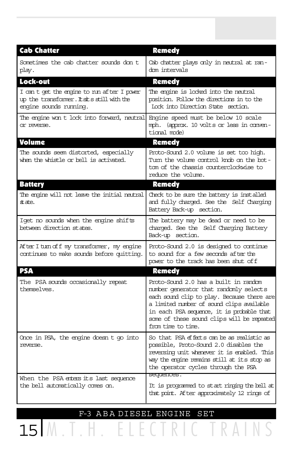| <b>Cab Chatter</b>                                                                                                  | <b>Remedy</b>                                                                                                                                                                                                                                                                               |
|---------------------------------------------------------------------------------------------------------------------|---------------------------------------------------------------------------------------------------------------------------------------------------------------------------------------------------------------------------------------------------------------------------------------------|
| Sometimes the cab chatter sounds don t<br>play.                                                                     | Cab chatter plays only in neutral at ran-<br>dom intervals                                                                                                                                                                                                                                  |
| Lock-out                                                                                                            | <b>Remedy</b>                                                                                                                                                                                                                                                                               |
| I can t get the engine to nun after I power<br>up the transformer. It sits still with the<br>engine sounds running. | The engine is looked into the neutral<br>position. Follow the directions in to the<br>Lock into Direction State section.                                                                                                                                                                    |
| The engine won t lock into forward, neutral<br>or reverse.                                                          | Engine speed must be below 10 scale<br>mph. (approx. 10 volts or less in conven-<br>tional mode)                                                                                                                                                                                            |
| <b>Volume</b>                                                                                                       | <b>Remedy</b>                                                                                                                                                                                                                                                                               |
| The sounds seem distorted, especially<br>when the whistle or bell is activated.                                     | Proto-Sound 2.0 volume is set too high.<br>Turn the volume control knob on the bot-<br>tom of the chassis counterclockwise to<br>reduce the volume.                                                                                                                                         |
| <b>Battery</b>                                                                                                      | Remedy                                                                                                                                                                                                                                                                                      |
| The engine will not leave the initial neutral<br>state.                                                             | Check to be sure the battery is installed<br>and fully charged. See the Self Charging<br>Battery Back-up section.                                                                                                                                                                           |
| Iget no sounds when the engine shifts<br>between direction states.                                                  | The battery may be dead or need to be<br>charged. See the Self Charging Battery<br>Back-up section.                                                                                                                                                                                         |
| After I turn of f my transformer, my engine<br>continues to make sounds before quitting.                            | Proto-Sound 2.0 is designed to continue<br>to sound for a few seconds after the<br>power to the track has been shut of f                                                                                                                                                                    |
| <b>PSA</b>                                                                                                          | <b>Remedy</b>                                                                                                                                                                                                                                                                               |
| The PSA sounds occasionally repeat<br>themselves.                                                                   | Proto-Sound 2.0 has a built in random<br>number generator that randomly selects<br>each sound clip to play. Because there are<br>a limited number of sound clips available<br>in each PSA sequence, it is probable that<br>some of these sound clips will be repeated<br>from time to time. |
| Once in PSA, the engine doesn t go into<br>reverse.                                                                 | So that PSA effects can be as realistic as<br>possible, Proto-Sound 2.0 disables the<br>reversing unit whenever it is enabled. This<br>way the engine remains still at its stop as<br>the operator cycles through the PSA<br>sequences.                                                     |
| When the PSA enters its last sequence<br>the bell automatically comes on.                                           | It is programmed to start ringing the bell at<br>that point. After approximately 12 rings of                                                                                                                                                                                                |

### F-3 A B A DIESEL ENGINE SET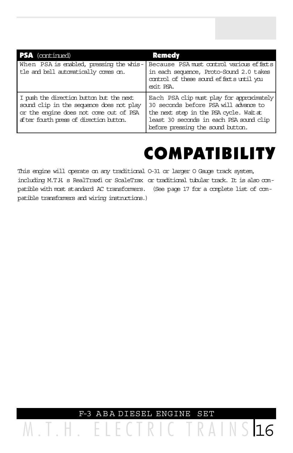| <b>PSA</b> (continued)                                                                                                                                                    | <b>Remedy</b>                                                                                                                                                                                                 |
|---------------------------------------------------------------------------------------------------------------------------------------------------------------------------|---------------------------------------------------------------------------------------------------------------------------------------------------------------------------------------------------------------|
| When PSA is enabled, pressing the whis-<br>tle and bell automatically comes on.                                                                                           | Because PSA must control various effects<br>in each sequence, Proto-Sound 2.0 takes<br>control of these sound effects until you<br>exit PSA.                                                                  |
| I push the direction button but the next<br>sound clip in the sequence does not play<br>or the engine does not come out of PSA<br>after fourth press of direction button. | Each PSA clip must play for approximately<br>30 seconds before PSA will advance to<br>the next step in the PSA cycle. Wait at<br>least 30 seconds in each PSA sound clip<br>before pressing the sound button. |

## COMPATIBILITY

This engine will operate on any traditional O-31 or larger O Gauge track system, including M.T.H. s RealTraxfi or ScaleTrax or traditional tubular track. It is also compatible with most standard AC transformers. (See page 17 for a complete list of compatible transformers and wiring instructions.)

F-3 A B A DIESEL ENGINE SET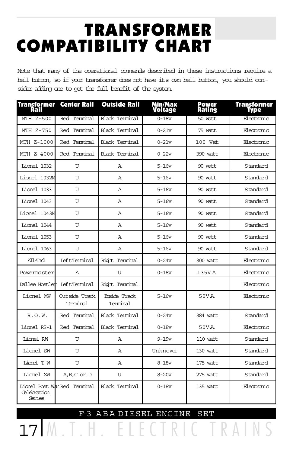## TRANSFORMER COMPATIBILITY CHART

Note that many of the operational commands described in these instructions require a bell button, so if your transformer does not have its own bell button, you should consider adding one to get the full benefit of the system.

| Transformer<br>Rail   | <b>Center Rail</b>           | <b>Outside Rail</b>      | Min/Max<br><b>Voltage</b> | Power<br>Rating | Transformer<br>Type |
|-----------------------|------------------------------|--------------------------|---------------------------|-----------------|---------------------|
| MTH Z-500             | Red Terminal                 | <b>Black Terminal</b>    | $0 - 18v$                 | 50 watt         | Electronic          |
| MTH Z-750             | Red Terminal                 | Black Terminal           | $0-21v$                   | 75 watt         | Electronic          |
| MTH Z-1000            | Red Terminal                 | Black Terminal           | $0 - 21v$                 | $100$ Watt.     | Electronic          |
| MTH Z-4000            | Red Terminal                 | Black Terminal           | $0-22v$                   | 390 watt        | Electronic          |
| Lionel 1032           | U                            | Α                        | $5 - 16v$                 | 90 watt         | Standard            |
| Lionel 1032M          | U                            | A                        | $5 - 16v$                 | 90 wat.t.       | Standard            |
| Lionel 1033           | U                            | Α                        | $5-16v$                   | 90 watt         | Standard            |
| Lionel 1043           | U                            | A                        | $5 - 16v$                 | 90 watt         | Standard            |
| Lionel 1043M          | U                            | A                        | $5 - 16v$                 | 90 watt.        | Standard            |
| Lionel 1044           | U                            | A                        | $5 - 16v$                 | 90 watt.        | Standard            |
| Lionel 1053           | U                            | A                        | $5-16v$                   | 90 watt         | Standard            |
| Lionel 1063           | U                            | A                        | $5 - 16v$                 | 90 watt         | Standard            |
| All-Trd               | <b>LeftTerminal</b>          | Right Terminal           | $0 - 24v$                 | 300 watt        | Electronic          |
| Powermaster           | Α                            | U                        | $0 - 18v$                 | 135VA           | Electronic          |
| Dallee Hostler        | <b>LeftTerminal</b>          | Right Terminal           |                           |                 | Electronic          |
| Lionel MW             | Outside Track<br>Terminal    | Inside Track<br>Terminal | $5 - 16v$                 | 50VA            | Electronic          |
| R.0.W.                | Red Terminal                 | <b>Black Terminal</b>    | $0 - 24v$                 | 384 watt        | Standard            |
| Lionel RS-1           | Red Terminal                 | <b>Black Terminal</b>    | $0 - 18v$                 | 50VA            | Electronic          |
| Lionel RW             | U                            | A                        | $9 - 19v$                 | 110 watt        | Standard            |
| Lionel SW             | U                            | A                        | Unknown                   | 130 watt        | Standard            |
| Lionel T W            | U                            | Α                        | $8-18v$                   | 175 watt        | Standard            |
| Lionel ZW             | $A, B, C$ or $D$             | U                        | $8-20v$                   | 275 watt        | Standard            |
| Celebration<br>Series | Lionel Post War Red Terminal | <b>Black Terminal</b>    | $0 - 18v$                 | 135 watt        | Electronic          |

17 M.T.H. ELECTRIC TRAINS F-3 A B A DIESEL ENGINE SET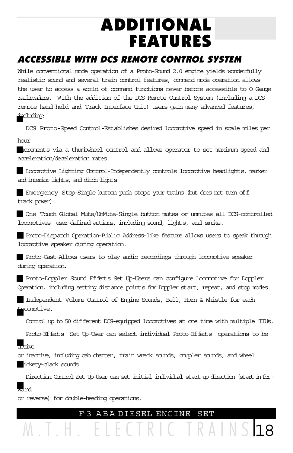## ADDITIONAL FEATURES

### ACCESSIBLE WITH DCS REMOTE CONTROL SYSTEM

While conventional mode operation of a Proto-Sound 2.0 engine yields wonderfully realistic sound and several train control features, command mode operation allows the user to access a world of command functions never before accessible to O Gauge railroaders. With the addition of the DCS Remote Control System (including a DCS remote hand-held and Track Interface Unit) users gain many advanced features, including:

DCS Proto-Speed Control-Establishes desired locomotive speed in scale miles per hour

increments via a thumbwheel control and allows operator to set maximum speed and acceleration/deceleration rates.

Locomotive Lighting Control-Independently controls locomotive headlights, marker and interior lights, and ditch lights.

Emergency Stop-Single button push stops your trains (but does not turn off track power).

One Touch Global Mute/UnMute-Single button mutes or unmutes all DCS-controlled locomotives user-defined actions, including sound, lights, and smoke.

Proto-Dispatch Operation-Public Address-like feature allows users to speak through locomotive speaker during operation.

Proto-Cast-Allows users to play audio recordings through locomotive speaker during operation.

Proto-Doppler Sound Effects Set Up-Users can configure locomotive for Doppler Operation, including setting distance points for Doppler start, repeat, and stop modes.

Independent Volume Control of Engine Sounds, Bell, Horn & Whistle for each Locomotive.

Control up to 50 different DCS-equipped locomotives at one time with multiple TIUs.

Proto-Effects Set Up-User can select individual Proto-Effects operations to be

### artive

or inactive, including cab chatter, train wreck sounds, coupler sounds, and wheel clickety-clack sounds.

Direction Control Set Up-User can set initial individual start-up direction (start in forward

or reverse) for double-heading operations.

M.T.H. ELECTRIC TRAINS 18 F-3 A B A DIESEL ENGINE SET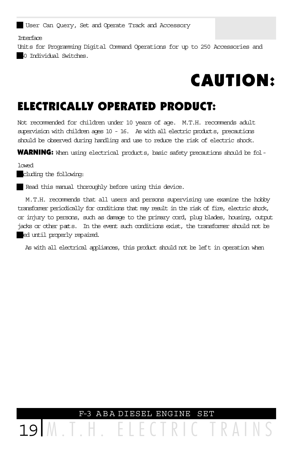User Can Query, Set and Operate Track and Accessory

Interface

Units for Programming Digital Command Operations for up to 250 Accessories and 250 Individual Switches.

## CAUTION:

### ELECTRICALLY OPERATED PRODUCT:

Not recommended for children under 10 years of age. M.T.H. recommends adult supervision with children ages 10 - 16. As with all electric products, precautions should be observed during handling and use to reduce the risk of electric shock.

WARNING: When using electrical products, basic safety precautions should be fol-

lowed

cluding the following:

Read this manual thoroughly before using this device.

M.T.H. recommends that all users and persons supervising use examine the hobby transformer periodically for conditions that may result in the risk of fire, electric shock, or injury to persons, such as damage to the primary cord, plug blades, housing, output jacks or other parts. In the event such conditions exist, the transformer should not be ed until properly repaired.

As with all electrical appliances, this product should not be left in operation when

19 M.T.H. ELECTRIC TRAINS F-3 A B A DIESEL ENGINE SET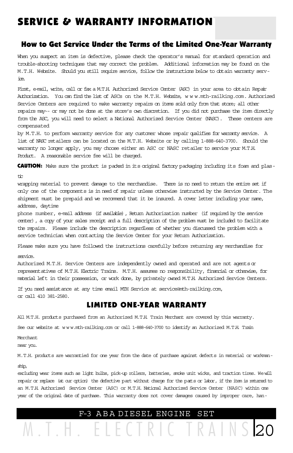### SERVICE & WARRANTY INFORMATION

#### How to Get Service Under the Terms of the Limited One-Year Warranty

When you suspect an item is defective, please check the operator's manual for standard operation and trouble-shooting techniques that may correct the problem. Additional information may be found on the M.T.H. Website. Should you still require service, follow the instructions below to obtain warranty service.

First, e-mail, write, call or fax a M.T.H. Authorized Service Center (ASC) in your area to obtain Repair Authorization. You can find the list of ASCs on the M.T.H. Website, w w w.mth-railking.com. Authorized Service Centers are required to make warranty repairs on items sold only from that store; all other repairs may-- or may not be done at the store's own discretion. If you did not purchase the item directly from the ASC, you will need to select a National Authorized Service Center (NASC). These centers are compensated

by M.T.H. to perform warranty service for any customer whose repair qualifies for warranty service. A list of NASC retailers can be located on the M.T.H. Website or by calling 1-888-640-3700. Should the warranty no longer apply, you may choose either an ASC or NASC retailer to service your M.T.H. Product. A reasonable service fee will be charged.

CAUTION: Make sure the product is packed in its original factory packaging including its foam and plas-

tic

wrapping material to prevent damage to the merchandise. There is no need to return the entire set if only one of the components is in need of repair unless otherwise instructed by the Service Center. The shipment must be prepaid and we recommend that it be insured. A cover letter including your name, address, daytime

phone number, e-mail address (if available), Return Authorization number (if required by the service center), a copy of your sales receipt and a full description of the problem must be included to facilitate the repairs. Please include the description regardless of whether you discussed the problem with a service technician when contacting the Service Center for your Return Authorization.

Please make sure you have followed the instructions carefully before returning any merchandise for

service.

Authorized M.T.H. Service Centers are independently owned and operated and are not agents or representatives of M.T.H. Electric Trains. M.T.H. assumes no responsibility, financial or otherwise, for material left in their possession, or work done, by privately owned M.T.H. Authorized Service Centers.

If you need assistance at any time email MTH Service at service@mth-railking.com, or call 410 381-2580.

#### LIMITED ONE-YEAR WARRANTY

All M.T.H. products purchased from an Authorized M.T.H. Train Merchant are covered by this warranty.

See our website at w w w.mth-railking.com or call 1-888-640-3700 to identify an Authorized M.T.H. Train

Merchant

near you.

M.T.H. products are warrantied for one year from the date of purchase against defects in material or workmanship,

excluding wear items such as light bulbs, pick-up rollers, batteries, smoke unit wicks, and traction tires. We will repair or replace (at our option) the defective part without charge for the parts or labor, if the item is returned to an M.T.H. Authorized Service Center (ASC) or M.T.H. National Authorized Service Center (NASC) within one year of the original date of purchase. This warranty does not cover damages caused by improper care, han-

### M.T.H. ELECTRIC TRAINS 20 F-3 A B A DIESEL ENGINE SET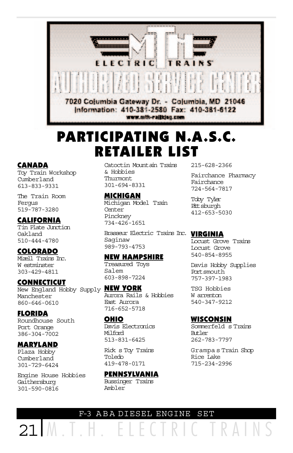

## PARTICIPATING N.A.S.C. RETAILER LIST

#### CANADA

Toy Train Workshop Cumberland 613-833-9331

The Train Room Fergus 519-787-3280

#### CALIFORNIA

Tin Plate Junction Oakland 510-444-4780

#### COLORADO

Mizell Trains Inc. W estminster 303-429-4811

#### CONNECTICUT

New England Hobby Supply **NEW YORK** Manchester 860-646-0610

#### FLORIDA

Roundhouse South Port Orange 386-304-7002

#### MARYLAND

Plaza Hobby Cumberland 301-729-6424

Engine House Hobbies Gaithersburg 301-590-0816

Catoctin Mountain Trains & Hobbies Thurmont 301-694-8331

#### MICHIGAN

Michigan Model Train Center Pinckney 734-426-1651

Brasseur Electric Trains Inc. **VIRGINIA** Saginaw 989-793-4753

#### NEW HAMPSHIRE

Treasured Toys Salem 603-898-7224

Aurora Rails & Hobbies East Aurora 716-652-5718

#### OHIO Davis Electronics Milford 513-831-6425

Rick s Toy Trains Toledo 419-478-0171

PENNSYLVANIA Bussinger Trains Ambler

215-628-2366

Fairchance Pharmacy Fairchance 724-564-7817

Toby Tyler Pitt sburgh 412-653-5030

Locust Grove Trains Locust Grove 540-854-8955

Davis Hobby Supplies Portsmouth 757-397-1983

TSG Hobbies W arrenton 540-347-9212

#### WISCONSIN

Sommerfeld s Trains Butler 262-783-7797

Grampa s Train Shop Rice Lake 715-234-2996

#### F-3 A B A DIESEL ENGINE SET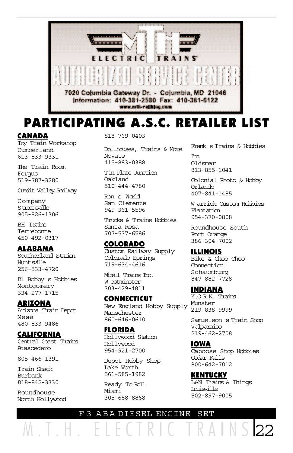

## PARTICIPATING A.S.C. RETAILER LIST

#### CANADA

Toy Train Workshop Cumberland 613-833-9331

The Train Room Fergus 519-787-3280

Credit Valley Railway

Company Street sville 905-826-1306

BH Trains Terrebonne 450-492-0317

#### ALABAMA

Southerland Station Huntsville 256-533-4720

Lil Bobby s Hobbies Montgomery 334-277-1715

#### ARIZONA

Arizona Train Depot Mesa 480-833-9486

#### CALIFORNIA

Central Coast Trains Atascedero

805-466-1391

Train Shack Burbank 818-842-3330

Roundhouse North Hollywood 818-769-0403

Dollhouses, Trains & More Novato 415-883-0388

Tin Plate Junction Oakland 510-444-4780

Ron s World San Clemente 949-361-5596

Trucks & Trains Hobbies Santa Rosa 707-537-6586

#### COLORADO

Custom Railway Supply Colorado Springs 719-634-4616

Mizell Trains Inc. W estminster 303-429-4811

#### **CONNECTICUT**

New England Hobby Supply Manschester 860-646-0610

#### FLORIDA

Hollywood Station Hollywood 954-921-2700

Depot Hobby Shop Lake Worth 561-585-1982

Ready To Roll Miami 305-688-8868 Frank s Trains & Hobbies

Inc. Oldsmar 813-855-1041

Colonial Photo & Hobby Orlando 407-841-1485

W arrick Custom Hobbies Plantation 954-370-0808

Roundhouse South Port Orange 386-304-7002

#### ILLINOIS

Bike & Choo Choo Connection Schaumburg 847-882-7728

#### INDIANA

Y.O.R.K. Trains Munster 219-838-9999

Samuelson s Train Shop Valparaiso 219-462-2708

IOWA Caboose Stop Hobbies Cedar Falls 800-642-7012

KENTUCKY L&N Trains & Things Louisville 502-897-9005

#### F-3 A B A DIESEL ENGINE SET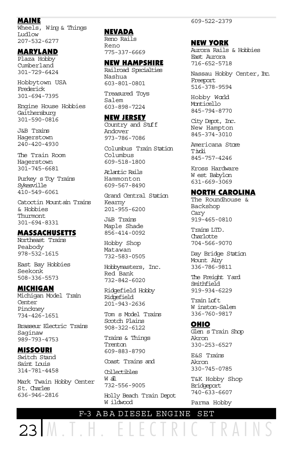#### MAINE

Wheels, Wing & Things Ludlow 207-532-6277

#### MARYLAND

Plaza Hobby Cumberland 301-729-6424

Hobbytown USA Frederick 301-694-7395

Engine House Hobbies Gaithersburg 301-590-0816

J&B Trains Hagerstown 240-420-4930

The Train Room Hagerstown 301-745-6681

Purkey s Toy Trains Sykesville 410-549-6061

Catoctin Mountain Trains & Hobbies Thurmont 301-694-8331

#### MASSACHUSETTS

Northeast Trains Peabody 978-532-1615

East Bay Hobbies Seekonk 508-336-5573

#### MICHIGAN

Michigan Model Train Center Pinckney 734-426-1651

Brasseur Electric Trains Saginaw 989-793-4753

### MISSOURI

Switch Stand Saint Louis 314-781-4458

Mark Twain Hobby Center St. Charles 636-946-2816

 $23 M.$  T.

#### NEVADA

Reno Rails Reno 775-337-6669

#### NEW HAMPSHIRE

Railroad Specialties Nashua 603-801-0801

Treasured Toys Salem 603-898-7224

#### NEW JERSEY

Country and Stuff Andover 973-786-7086

Columbus Train Station Columbus 609-518-1800

Atlantic Rails Hammonton 609-567-8490

Grand Central Station Kearny 201-955-6200

J&B Trains Maple Shade 856-414-0092

Hobby Shop Matawan 732-583-0505

Hobbymasters, Inc. Red Bank 732-842-6020

Ridgefield Hobby Ridgefield 201-943-2636

Tom s Model Trains Scotch Plains 908-322-6122

Trains & Things Trenton 609-883-8790

Coast Trains and

Collectibles W all 732-556-9005

Holly Beach Train Depot W ildwood

#### NEW YORK

Aurora Rails & Hobbies East Aurora 716-652-5718

Nassau Hobby Center, Inc.<br>Freeport 516-378-9594

Hobby World Monticello 845-794-8770

City Depot, Inc. New Hampton 845-374-3010

Americana Store Tivoli 845-757-4246

Kross Hardware W est Babylon 631-669-3069

#### NORTH CAROLINA

The Roundhouse & Backshop Cary 919-465-0810

Trains LTD. Charlotte 704-566-9070

Day Bridge Station Mount Airy 336-786-9811

The Freight Yard Smithfield 919-934-6229

Train Loft W inston-Salem 336-760-9817

#### OHIO

Glen s Train Shop Akron 330-253-6527

E&S Trains Akron 330-745-0785

T&K Hobby Shop Bridgeport 740-633-6607

Parma Hobby

F-3 A B A DIESEL ENGINE SET